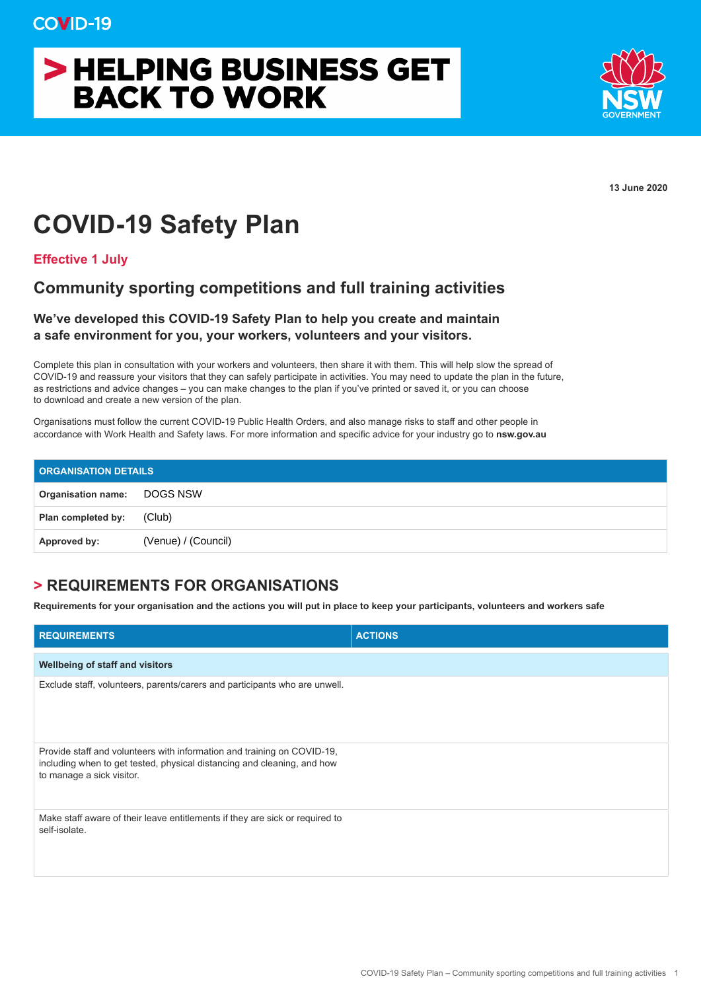# > HELPING BUSINESS GET **BACK TO WORK**



**13 June 2020**

## **COVID-19 Safety Plan**

**Effective 1 July**

## **Community sporting competitions and full training activities**

### **We've developed this COVID-19 Safety Plan to help you create and maintain a safe environment for you, your workers, volunteers and your visitors.**

Complete this plan in consultation with your workers and volunteers, then share it with them. This will help slow the spread of COVID-19 and reassure your visitors that they can safely participate in activities. You may need to update the plan in the future, as restrictions and advice changes – you can make changes to the plan if you've printed or saved it, or you can choose to download and create a new version of the plan.

Organisations must follow the current COVID-19 Public Health Orders, and also manage risks to staff and other people in accordance with Work Health and Safety laws. For more information and specific advice for your industry go to **nsw.gov.au**

| <b>ORGANISATION DETAILS</b> |                     |  |
|-----------------------------|---------------------|--|
| Organisation name: DOGS NSW |                     |  |
| Plan completed by:          | (Club)              |  |
| Approved by:                | (Venue) / (Council) |  |

### **> REQUIREMENTS FOR ORGANISATIONS**

**Requirements for your organisation and the actions you will put in place to keep your participants, volunteers and workers safe**

| <b>REQUIREMENTS</b>                                                                                                                                                             | <b>ACTIONS</b> |
|---------------------------------------------------------------------------------------------------------------------------------------------------------------------------------|----------------|
| Wellbeing of staff and visitors                                                                                                                                                 |                |
| Exclude staff, volunteers, parents/carers and participants who are unwell.                                                                                                      |                |
| Provide staff and volunteers with information and training on COVID-19,<br>including when to get tested, physical distancing and cleaning, and how<br>to manage a sick visitor. |                |
| Make staff aware of their leave entitlements if they are sick or required to<br>self-isolate.                                                                                   |                |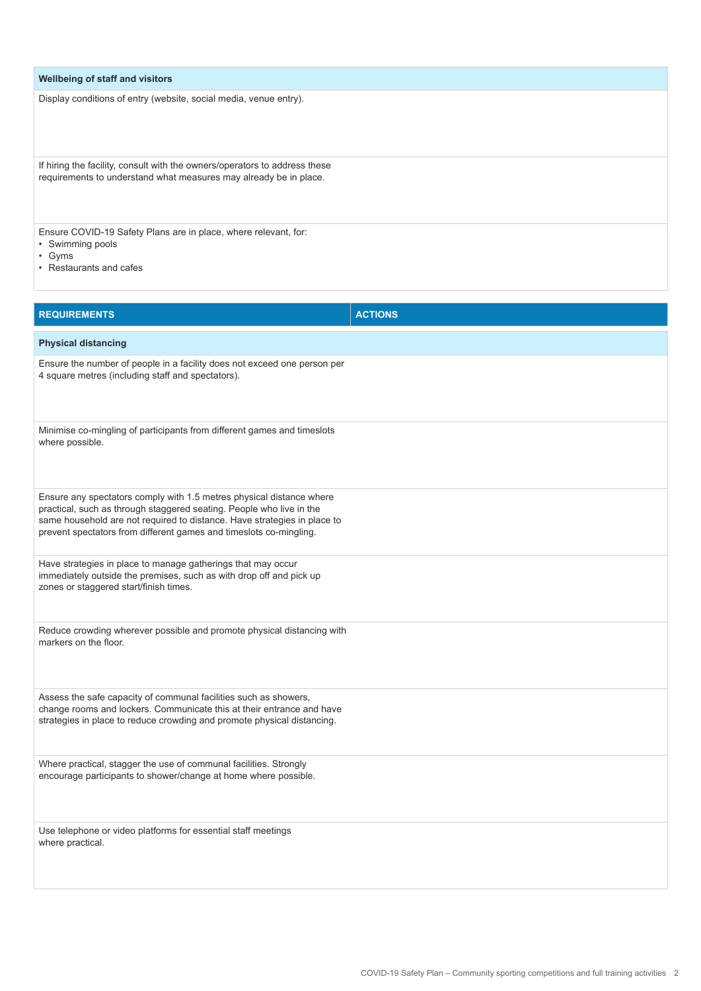| Wellbeing of staff and visitors                                                                                                                 |
|-------------------------------------------------------------------------------------------------------------------------------------------------|
| Display conditions of entry (website, social media, venue entry).                                                                               |
| If hiring the facility, consult with the owners/operators to address these<br>requirements to understand what measures may already be in place. |
| Ensure COVID-19 Safety Plans are in place, where relevant, for:<br>• Swimming pools<br>$\cdot$ Gyms<br>• Restaurants and cafes                  |

| <b>REQUIREMENTS</b>                                                                                                                                                                                                                                                                            | <b>ACTIONS</b> |
|------------------------------------------------------------------------------------------------------------------------------------------------------------------------------------------------------------------------------------------------------------------------------------------------|----------------|
| <b>Physical distancing</b>                                                                                                                                                                                                                                                                     |                |
| Ensure the number of people in a facility does not exceed one person per<br>4 square metres (including staff and spectators).                                                                                                                                                                  |                |
| Minimise co-mingling of participants from different games and timeslots<br>where possible.                                                                                                                                                                                                     |                |
| Ensure any spectators comply with 1.5 metres physical distance where<br>practical, such as through staggered seating. People who live in the<br>same household are not required to distance. Have strategies in place to<br>prevent spectators from different games and timeslots co-mingling. |                |
| Have strategies in place to manage gatherings that may occur<br>immediately outside the premises, such as with drop off and pick up<br>zones or staggered start/finish times.                                                                                                                  |                |
| Reduce crowding wherever possible and promote physical distancing with<br>markers on the floor.                                                                                                                                                                                                |                |
| Assess the safe capacity of communal facilities such as showers,<br>change rooms and lockers. Communicate this at their entrance and have<br>strategies in place to reduce crowding and promote physical distancing.                                                                           |                |
| Where practical, stagger the use of communal facilities. Strongly<br>encourage participants to shower/change at home where possible.                                                                                                                                                           |                |
| Use telephone or video platforms for essential staff meetings<br>where practical.                                                                                                                                                                                                              |                |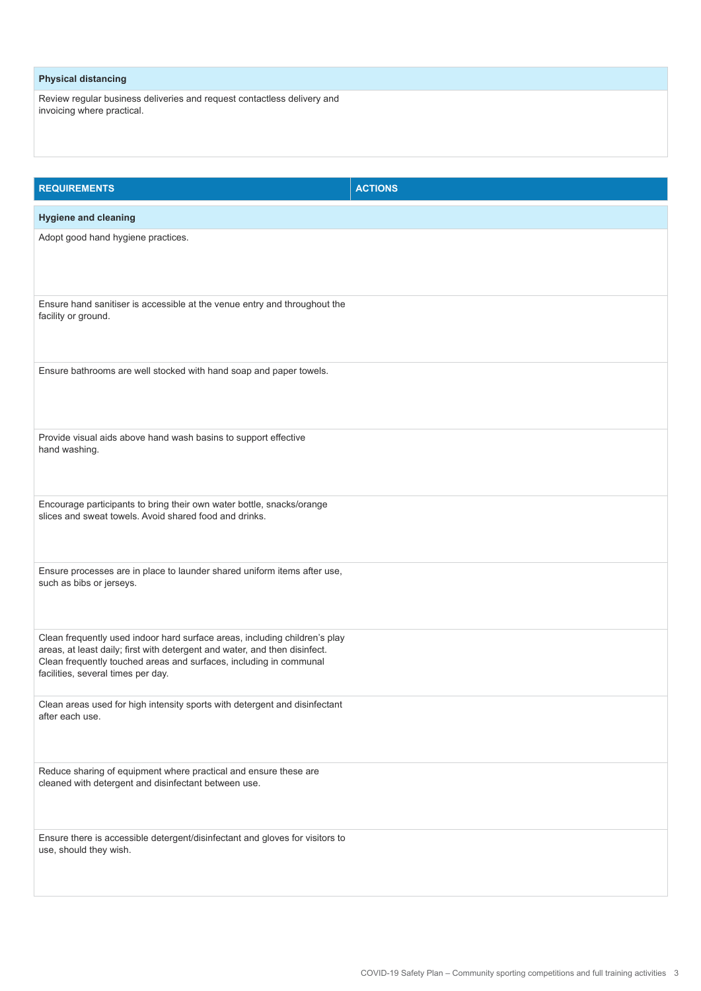#### **Physical distancing**

Review regular business deliveries and request contactless delivery and invoicing where practical.

| <b>REQUIREMENTS</b>                                                                                                                                                                                                                                                  | <b>ACTIONS</b> |
|----------------------------------------------------------------------------------------------------------------------------------------------------------------------------------------------------------------------------------------------------------------------|----------------|
| <b>Hygiene and cleaning</b>                                                                                                                                                                                                                                          |                |
| Adopt good hand hygiene practices.                                                                                                                                                                                                                                   |                |
| Ensure hand sanitiser is accessible at the venue entry and throughout the<br>facility or ground.                                                                                                                                                                     |                |
| Ensure bathrooms are well stocked with hand soap and paper towels.                                                                                                                                                                                                   |                |
| Provide visual aids above hand wash basins to support effective<br>hand washing.                                                                                                                                                                                     |                |
| Encourage participants to bring their own water bottle, snacks/orange<br>slices and sweat towels. Avoid shared food and drinks.                                                                                                                                      |                |
| Ensure processes are in place to launder shared uniform items after use,<br>such as bibs or jerseys.                                                                                                                                                                 |                |
| Clean frequently used indoor hard surface areas, including children's play<br>areas, at least daily; first with detergent and water, and then disinfect.<br>Clean frequently touched areas and surfaces, including in communal<br>facilities, several times per day. |                |
| Clean areas used for high intensity sports with detergent and disinfectant<br>after each use.                                                                                                                                                                        |                |
| Reduce sharing of equipment where practical and ensure these are<br>cleaned with detergent and disinfectant between use.                                                                                                                                             |                |
| Ensure there is accessible detergent/disinfectant and gloves for visitors to<br>use, should they wish.                                                                                                                                                               |                |